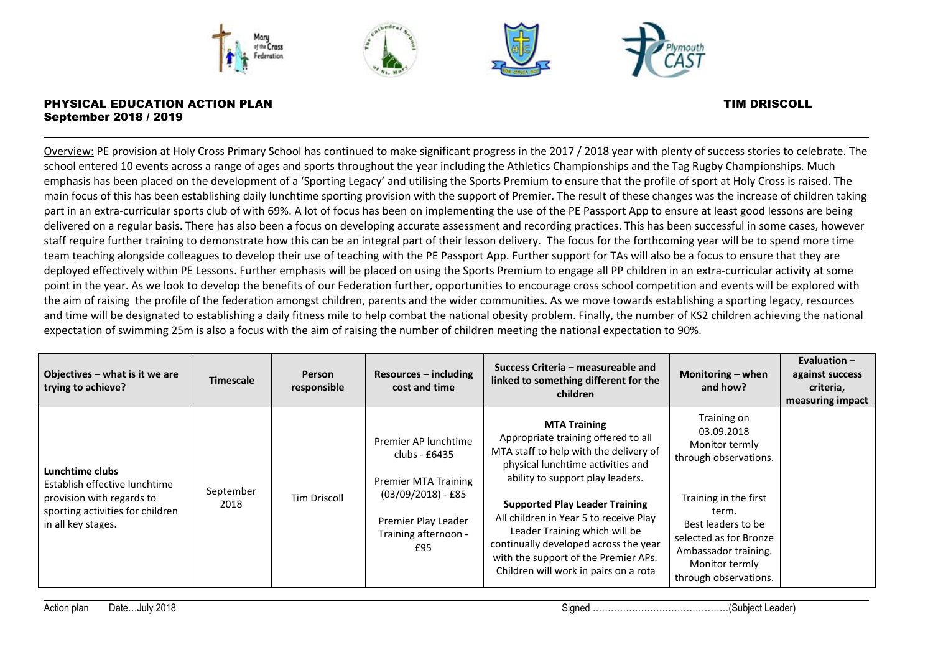

Overview: PE provision at Holy Cross Primary School has continued to make significant progress in the 2017 / 2018 year with plenty of success stories to celebrate. The school entered 10 events across a range of ages and sports throughout the year including the Athletics Championships and the Tag Rugby Championships. Much emphasis has been placed on the development of a 'Sporting Legacy' and utilising the Sports Premium to ensure that the profile of sport at Holy Cross is raised. The main focus of this has been establishing daily lunchtime sporting provision with the support of Premier. The result of these changes was the increase of children taking part in an extra-curricular sports club of with 69%. A lot of focus has been on implementing the use of the PE Passport App to ensure at least good lessons are being delivered on a regular basis. There has also been a focus on developing accurate assessment and recording practices. This has been successful in some cases, however staff require further training to demonstrate how this can be an integral part of their lesson delivery. The focus for the forthcoming year will be to spend more time team teaching alongside colleagues to develop their use of teaching with the PE Passport App. Further support for TAs will also be a focus to ensure that they are deployed effectively within PE Lessons. Further emphasis will be placed on using the Sports Premium to engage all PP children in an extra-curricular activity at some point in the year. As we look to develop the benefits of our Federation further, opportunities to encourage cross school competition and events will be explored with the aim of raising the profile of the federation amongst children, parents and the wider communities. As we move towards establishing a sporting legacy, resources and time will be designated to establishing a daily fitness mile to help combat the national obesity problem. Finally, the number of KS2 children achieving the national expectation of swimming 25m is also a focus with the aim of raising the number of children meeting the national expectation to 90%.

| Objectives - what is it we are<br>trying to achieve?                                                                                    | <b>Timescale</b>  | <b>Person</b><br>responsible | $Resources - including$<br>cost and time                                                                                                           | Success Criteria – measureable and<br>linked to something different for the<br>children                                                                                                                                                                                                                                                                                                                                     | Monitoring - when<br>and how?                                                                                                                                                                                             | Evaluation $-$<br>against success<br>criteria,<br>measuring impact |
|-----------------------------------------------------------------------------------------------------------------------------------------|-------------------|------------------------------|----------------------------------------------------------------------------------------------------------------------------------------------------|-----------------------------------------------------------------------------------------------------------------------------------------------------------------------------------------------------------------------------------------------------------------------------------------------------------------------------------------------------------------------------------------------------------------------------|---------------------------------------------------------------------------------------------------------------------------------------------------------------------------------------------------------------------------|--------------------------------------------------------------------|
| Lunchtime clubs<br>Establish effective lunchtime<br>provision with regards to<br>sporting activities for children<br>in all key stages. | September<br>2018 | <b>Tim Driscoll</b>          | Premier AP lunchtime<br>clubs - £6435<br><b>Premier MTA Training</b><br>$(03/09/2018) - £85$<br>Premier Play Leader<br>Training afternoon -<br>£95 | <b>MTA Training</b><br>Appropriate training offered to all<br>MTA staff to help with the delivery of<br>physical lunchtime activities and<br>ability to support play leaders.<br><b>Supported Play Leader Training</b><br>All children in Year 5 to receive Play<br>Leader Training which will be<br>continually developed across the year<br>with the support of the Premier APs.<br>Children will work in pairs on a rota | Training on<br>03.09.2018<br>Monitor termly<br>through observations.<br>Training in the first<br>term.<br>Best leaders to be<br>selected as for Bronze<br>Ambassador training.<br>Monitor termly<br>through observations. |                                                                    |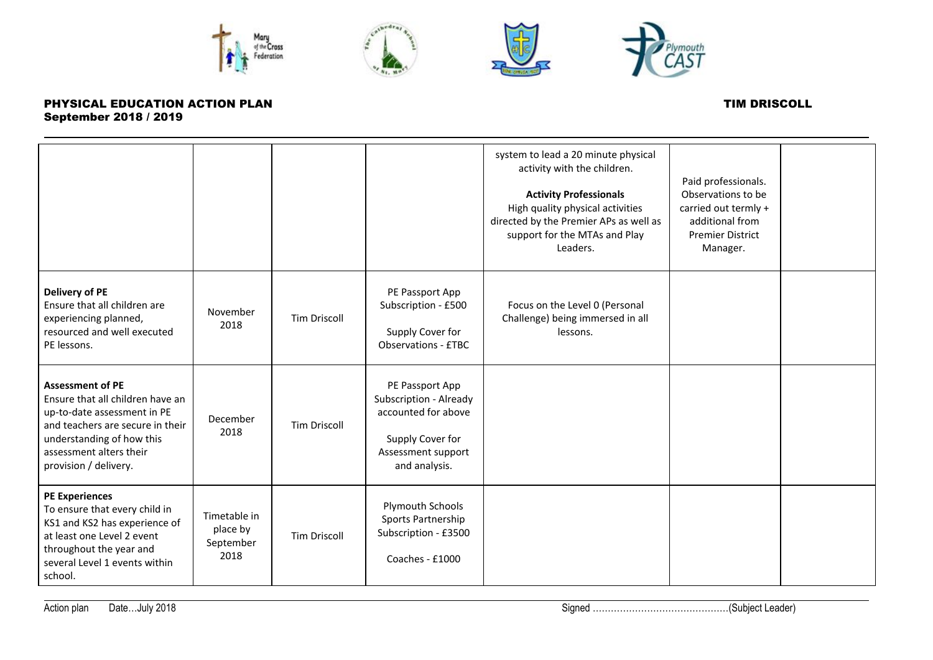







|                                                                                                                                                                                                                 |                                               |                     |                                                                                                                             | system to lead a 20 minute physical<br>activity with the children.<br><b>Activity Professionals</b><br>High quality physical activities<br>directed by the Premier APs as well as<br>support for the MTAs and Play<br>Leaders. | Paid professionals.<br>Observations to be<br>carried out termly +<br>additional from<br><b>Premier District</b><br>Manager. |  |
|-----------------------------------------------------------------------------------------------------------------------------------------------------------------------------------------------------------------|-----------------------------------------------|---------------------|-----------------------------------------------------------------------------------------------------------------------------|--------------------------------------------------------------------------------------------------------------------------------------------------------------------------------------------------------------------------------|-----------------------------------------------------------------------------------------------------------------------------|--|
| <b>Delivery of PE</b><br>Ensure that all children are<br>experiencing planned,<br>resourced and well executed<br>PE lessons.                                                                                    | November<br>2018                              | <b>Tim Driscoll</b> | PE Passport App<br>Subscription - £500<br>Supply Cover for<br>Observations - £TBC                                           | Focus on the Level 0 (Personal<br>Challenge) being immersed in all<br>lessons.                                                                                                                                                 |                                                                                                                             |  |
| <b>Assessment of PE</b><br>Ensure that all children have an<br>up-to-date assessment in PE<br>and teachers are secure in their<br>understanding of how this<br>assessment alters their<br>provision / delivery. | December<br>2018                              | <b>Tim Driscoll</b> | PE Passport App<br>Subscription - Already<br>accounted for above<br>Supply Cover for<br>Assessment support<br>and analysis. |                                                                                                                                                                                                                                |                                                                                                                             |  |
| <b>PE Experiences</b><br>To ensure that every child in<br>KS1 and KS2 has experience of<br>at least one Level 2 event<br>throughout the year and<br>several Level 1 events within<br>school.                    | Timetable in<br>place by<br>September<br>2018 | <b>Tim Driscoll</b> | Plymouth Schools<br>Sports Partnership<br>Subscription - £3500<br>Coaches - £1000                                           |                                                                                                                                                                                                                                |                                                                                                                             |  |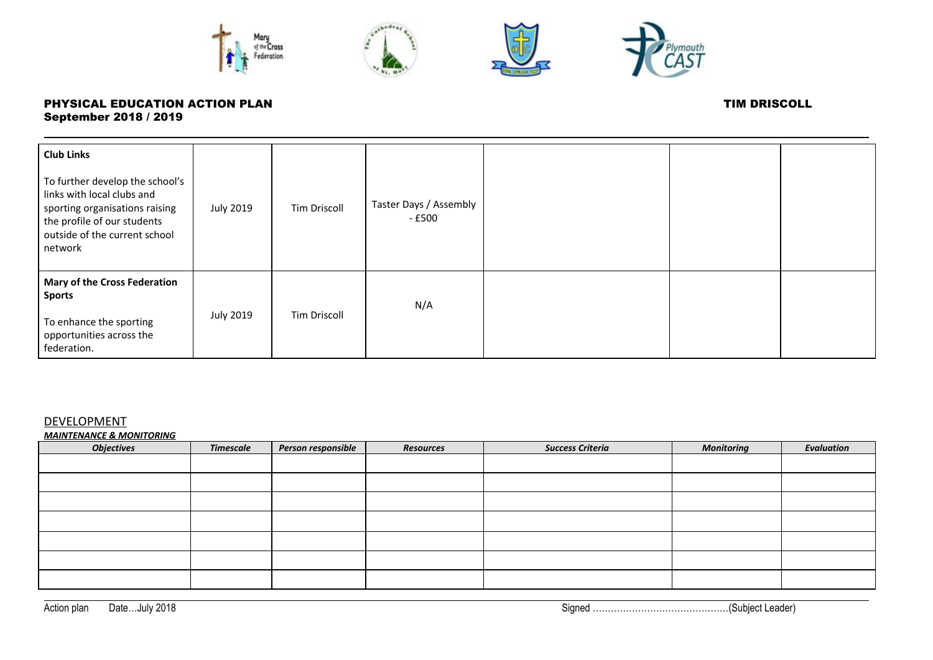







| <b>Club Links</b>                                                                                                                                                          |                  |                     |                                  |  |  |
|----------------------------------------------------------------------------------------------------------------------------------------------------------------------------|------------------|---------------------|----------------------------------|--|--|
| To further develop the school's<br>links with local clubs and<br>sporting organisations raising<br>the profile of our students<br>outside of the current school<br>network | <b>July 2019</b> | <b>Tim Driscoll</b> | Taster Days / Assembly<br>- £500 |  |  |
| <b>Mary of the Cross Federation</b><br><b>Sports</b><br>To enhance the sporting<br>opportunities across the<br>federation.                                                 | <b>July 2019</b> | <b>Tim Driscoll</b> | N/A                              |  |  |

## DEVELOPMENT

*MAINTENANCE & MONITORING*

| <b>Objectives</b> | <b>Timescale</b> | Person responsible | <b>Resources</b> | <b>Success Criteria</b> | <b>Monitoring</b> | <b>Evaluation</b> |
|-------------------|------------------|--------------------|------------------|-------------------------|-------------------|-------------------|
|                   |                  |                    |                  |                         |                   |                   |
|                   |                  |                    |                  |                         |                   |                   |
|                   |                  |                    |                  |                         |                   |                   |
|                   |                  |                    |                  |                         |                   |                   |
|                   |                  |                    |                  |                         |                   |                   |
|                   |                  |                    |                  |                         |                   |                   |
|                   |                  |                    |                  |                         |                   |                   |